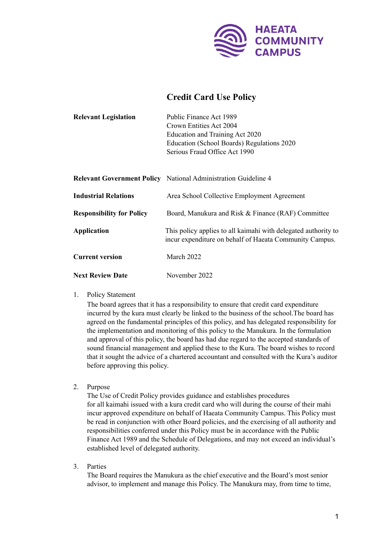

## **Credit Card Use Policy**

| <b>Relevant Legislation</b>      | Public Finance Act 1989<br>Crown Entities Act 2004<br>Education and Training Act 2020<br>Education (School Boards) Regulations 2020<br>Serious Fraud Office Act 1990 |
|----------------------------------|----------------------------------------------------------------------------------------------------------------------------------------------------------------------|
|                                  |                                                                                                                                                                      |
|                                  | <b>Relevant Government Policy</b> National Administration Guideline 4                                                                                                |
| <b>Industrial Relations</b>      | Area School Collective Employment Agreement                                                                                                                          |
| <b>Responsibility for Policy</b> | Board, Manukura and Risk & Finance (RAF) Committee                                                                                                                   |
| <b>Application</b>               | This policy applies to all kaimahi with delegated authority to<br>incur expenditure on behalf of Haeata Community Campus.                                            |

**Next Review Date** November 2022

**Current version** March 2022

1. Policy Statement

The board agrees that it has a responsibility to ensure that credit card expenditure incurred by the kura must clearly be linked to the business of the school.The board has agreed on the fundamental principles of this policy, and has delegated responsibility for the implementation and monitoring of this policy to the Manukura. In the formulation and approval of this policy, the board has had due regard to the accepted standards of sound financial management and applied these to the Kura. The board wishes to record that it sought the advice of a chartered accountant and consulted with the Kura's auditor before approving this policy.

2. Purpose

The Use of Credit Policy provides guidance and establishes procedures for all kaimahi issued with a kura credit card who will during the course of their mahi incur approved expenditure on behalf of Haeata Community Campus. This Policy must be read in conjunction with other Board policies, and the exercising of all authority and responsibilities conferred under this Policy must be in accordance with the Public Finance Act 1989 and the Schedule of Delegations, and may not exceed an individual's established level of delegated authority.

3. Parties

The Board requires the Manukura as the chief executive and the Board's most senior advisor, to implement and manage this Policy. The Manukura may, from time to time,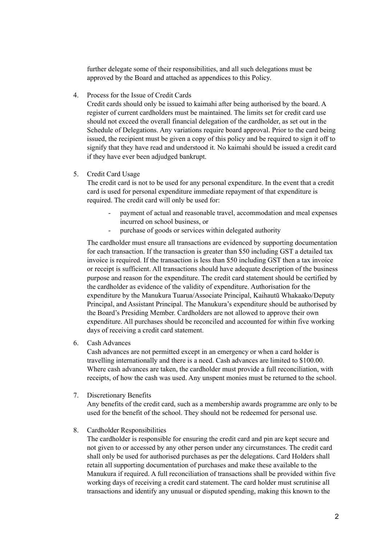further delegate some of their responsibilities, and all such delegations must be approved by the Board and attached as appendices to this Policy.

4. Process for the Issue of Credit Cards

Credit cards should only be issued to kaimahi after being authorised by the board. A register of current cardholders must be maintained. The limits set for credit card use should not exceed the overall financial delegation of the cardholder, as set out in the Schedule of Delegations. Any variations require board approval. Prior to the card being issued, the recipient must be given a copy of this policy and be required to sign it off to signify that they have read and understood it. No kaimahi should be issued a credit card if they have ever been adjudged bankrupt.

5. Credit Card Usage

The credit card is not to be used for any personal expenditure. In the event that a credit card is used for personal expenditure immediate repayment of that expenditure is required. The credit card will only be used for:

- payment of actual and reasonable travel, accommodation and meal expenses incurred on school business, or
- purchase of goods or services within delegated authority

The cardholder must ensure all transactions are evidenced by supporting documentation for each transaction. If the transaction is greater than \$50 including GST a detailed tax invoice is required. If the transaction is less than \$50 including GST then a tax invoice or receipt is sufficient. All transactions should have adequate description of the business purpose and reason for the expenditure. The credit card statement should be certified by the cardholder as evidence of the validity of expenditure. Authorisation for the expenditure by the Manukura Tuarua/Associate Principal, Kaihautū Whakaako/Deputy Principal, and Assistant Principal. The Manukura's expenditure should be authorised by the Board's Presiding Member. Cardholders are not allowed to approve their own expenditure. All purchases should be reconciled and accounted for within five working days of receiving a credit card statement.

6. Cash Advances

Cash advances are not permitted except in an emergency or when a card holder is travelling internationally and there is a need. Cash advances are limited to \$100.00. Where cash advances are taken, the cardholder must provide a full reconciliation, with receipts, of how the cash was used. Any unspent monies must be returned to the school.

7. Discretionary Benefits

Any benefits of the credit card, such as a membership awards programme are only to be used for the benefit of the school. They should not be redeemed for personal use.

8. Cardholder Responsibilities

The cardholder is responsible for ensuring the credit card and pin are kept secure and not given to or accessed by any other person under any circumstances. The credit card shall only be used for authorised purchases as per the delegations. Card Holders shall retain all supporting documentation of purchases and make these available to the Manukura if required. A full reconciliation of transactions shall be provided within five working days of receiving a credit card statement. The card holder must scrutinise all transactions and identify any unusual or disputed spending, making this known to the